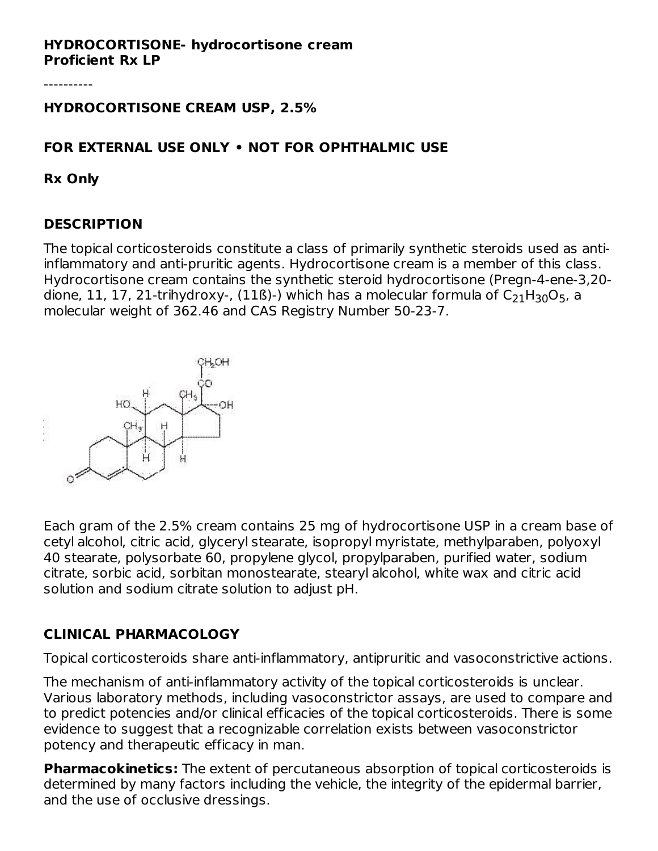----------

#### **HYDROCORTISONE CREAM USP, 2.5%**

### **FOR EXTERNAL USE ONLY • NOT FOR OPHTHALMIC USE**

**Rx Only**

#### **DESCRIPTION**

The topical corticosteroids constitute a class of primarily synthetic steroids used as antiinflammatory and anti-pruritic agents. Hydrocortisone cream is a member of this class. Hydrocortisone cream contains the synthetic steroid hydrocortisone (Pregn-4-ene-3,20 dione, 11, 17, 21-trihydroxy-, (11ß)-) which has a molecular formula of C $_{\rm 21}$ H $_{\rm 30}$ O<sub>5</sub>, a molecular weight of 362.46 and CAS Registry Number 50-23-7.



Each gram of the 2.5% cream contains 25 mg of hydrocortisone USP in a cream base of cetyl alcohol, citric acid, glyceryl stearate, isopropyl myristate, methylparaben, polyoxyl 40 stearate, polysorbate 60, propylene glycol, propylparaben, purified water, sodium citrate, sorbic acid, sorbitan monostearate, stearyl alcohol, white wax and citric acid solution and sodium citrate solution to adjust pH.

## **CLINICAL PHARMACOLOGY**

Topical corticosteroids share anti-inflammatory, antipruritic and vasoconstrictive actions.

The mechanism of anti-inflammatory activity of the topical corticosteroids is unclear. Various laboratory methods, including vasoconstrictor assays, are used to compare and to predict potencies and/or clinical efficacies of the topical corticosteroids. There is some evidence to suggest that a recognizable correlation exists between vasoconstrictor potency and therapeutic efficacy in man.

**Pharmacokinetics:** The extent of percutaneous absorption of topical corticosteroids is determined by many factors including the vehicle, the integrity of the epidermal barrier, and the use of occlusive dressings.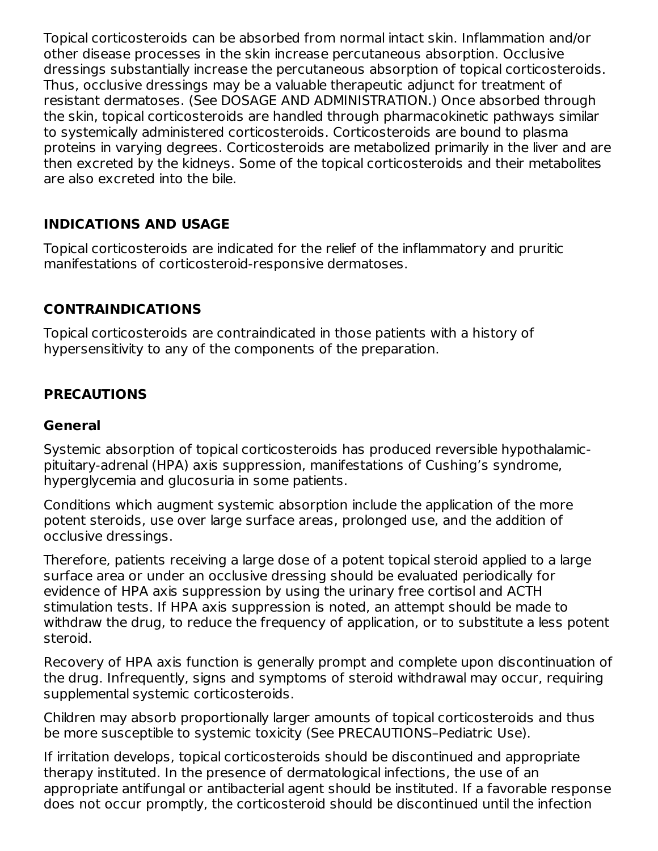Topical corticosteroids can be absorbed from normal intact skin. Inflammation and/or other disease processes in the skin increase percutaneous absorption. Occlusive dressings substantially increase the percutaneous absorption of topical corticosteroids. Thus, occlusive dressings may be a valuable therapeutic adjunct for treatment of resistant dermatoses. (See DOSAGE AND ADMINISTRATION.) Once absorbed through the skin, topical corticosteroids are handled through pharmacokinetic pathways similar to systemically administered corticosteroids. Corticosteroids are bound to plasma proteins in varying degrees. Corticosteroids are metabolized primarily in the liver and are then excreted by the kidneys. Some of the topical corticosteroids and their metabolites are also excreted into the bile.

## **INDICATIONS AND USAGE**

Topical corticosteroids are indicated for the relief of the inflammatory and pruritic manifestations of corticosteroid-responsive dermatoses.

### **CONTRAINDICATIONS**

Topical corticosteroids are contraindicated in those patients with a history of hypersensitivity to any of the components of the preparation.

## **PRECAUTIONS**

#### **General**

Systemic absorption of topical corticosteroids has produced reversible hypothalamicpituitary-adrenal (HPA) axis suppression, manifestations of Cushing's syndrome, hyperglycemia and glucosuria in some patients.

Conditions which augment systemic absorption include the application of the more potent steroids, use over large surface areas, prolonged use, and the addition of occlusive dressings.

Therefore, patients receiving a large dose of a potent topical steroid applied to a large surface area or under an occlusive dressing should be evaluated periodically for evidence of HPA axis suppression by using the urinary free cortisol and ACTH stimulation tests. If HPA axis suppression is noted, an attempt should be made to withdraw the drug, to reduce the frequency of application, or to substitute a less potent steroid.

Recovery of HPA axis function is generally prompt and complete upon discontinuation of the drug. Infrequently, signs and symptoms of steroid withdrawal may occur, requiring supplemental systemic corticosteroids.

Children may absorb proportionally larger amounts of topical corticosteroids and thus be more susceptible to systemic toxicity (See PRECAUTIONS–Pediatric Use).

If irritation develops, topical corticosteroids should be discontinued and appropriate therapy instituted. In the presence of dermatological infections, the use of an appropriate antifungal or antibacterial agent should be instituted. If a favorable response does not occur promptly, the corticosteroid should be discontinued until the infection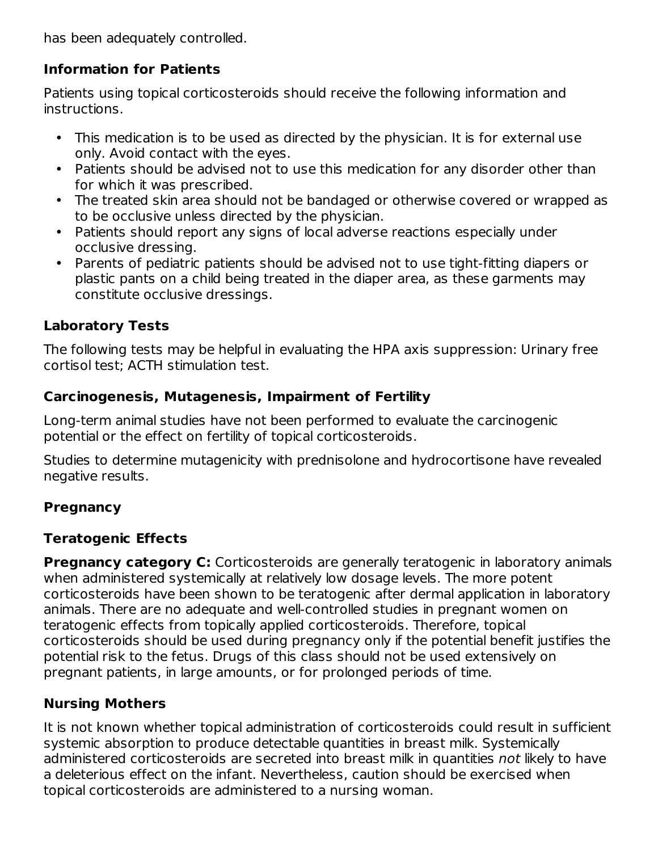has been adequately controlled.

## **Information for Patients**

Patients using topical corticosteroids should receive the following information and instructions.

- This medication is to be used as directed by the physician. It is for external use only. Avoid contact with the eyes.
- Patients should be advised not to use this medication for any disorder other than for which it was prescribed.
- The treated skin area should not be bandaged or otherwise covered or wrapped as to be occlusive unless directed by the physician.
- Patients should report any signs of local adverse reactions especially under occlusive dressing.
- Parents of pediatric patients should be advised not to use tight-fitting diapers or plastic pants on a child being treated in the diaper area, as these garments may constitute occlusive dressings.

# **Laboratory Tests**

The following tests may be helpful in evaluating the HPA axis suppression: Urinary free cortisol test; ACTH stimulation test.

## **Carcinogenesis, Mutagenesis, Impairment of Fertility**

Long-term animal studies have not been performed to evaluate the carcinogenic potential or the effect on fertility of topical corticosteroids.

Studies to determine mutagenicity with prednisolone and hydrocortisone have revealed negative results.

# **Pregnancy**

# **Teratogenic Effects**

**Pregnancy category C:** Corticosteroids are generally teratogenic in laboratory animals when administered systemically at relatively low dosage levels. The more potent corticosteroids have been shown to be teratogenic after dermal application in laboratory animals. There are no adequate and well-controlled studies in pregnant women on teratogenic effects from topically applied corticosteroids. Therefore, topical corticosteroids should be used during pregnancy only if the potential benefit justifies the potential risk to the fetus. Drugs of this class should not be used extensively on pregnant patients, in large amounts, or for prolonged periods of time.

# **Nursing Mothers**

It is not known whether topical administration of corticosteroids could result in sufficient systemic absorption to produce detectable quantities in breast milk. Systemically administered corticosteroids are secreted into breast milk in quantities not likely to have a deleterious effect on the infant. Nevertheless, caution should be exercised when topical corticosteroids are administered to a nursing woman.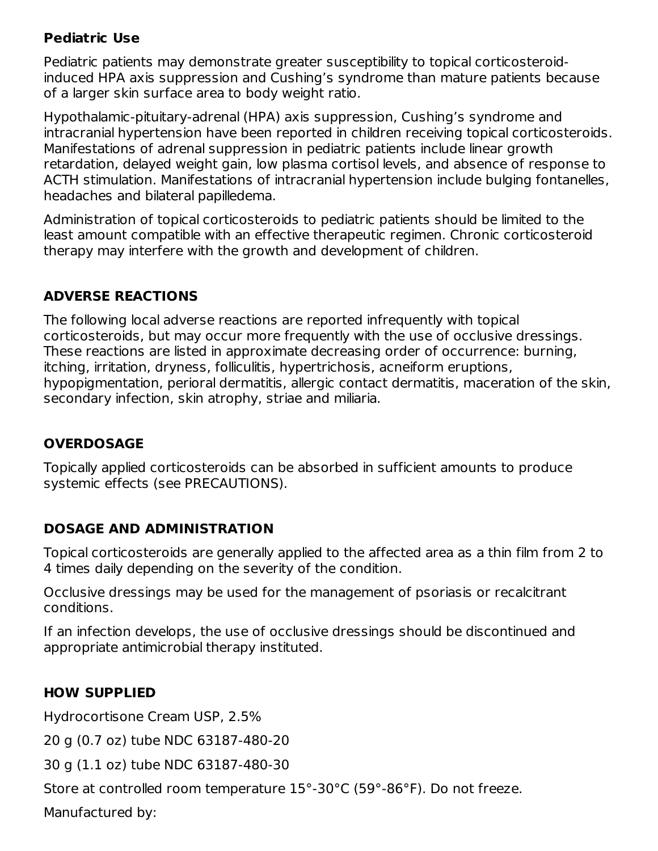## **Pediatric Use**

Pediatric patients may demonstrate greater susceptibility to topical corticosteroidinduced HPA axis suppression and Cushing's syndrome than mature patients because of a larger skin surface area to body weight ratio.

Hypothalamic-pituitary-adrenal (HPA) axis suppression, Cushing's syndrome and intracranial hypertension have been reported in children receiving topical corticosteroids. Manifestations of adrenal suppression in pediatric patients include linear growth retardation, delayed weight gain, low plasma cortisol levels, and absence of response to ACTH stimulation. Manifestations of intracranial hypertension include bulging fontanelles, headaches and bilateral papilledema.

Administration of topical corticosteroids to pediatric patients should be limited to the least amount compatible with an effective therapeutic regimen. Chronic corticosteroid therapy may interfere with the growth and development of children.

## **ADVERSE REACTIONS**

The following local adverse reactions are reported infrequently with topical corticosteroids, but may occur more frequently with the use of occlusive dressings. These reactions are listed in approximate decreasing order of occurrence: burning, itching, irritation, dryness, folliculitis, hypertrichosis, acneiform eruptions, hypopigmentation, perioral dermatitis, allergic contact dermatitis, maceration of the skin, secondary infection, skin atrophy, striae and miliaria.

## **OVERDOSAGE**

Topically applied corticosteroids can be absorbed in sufficient amounts to produce systemic effects (see PRECAUTIONS).

## **DOSAGE AND ADMINISTRATION**

Topical corticosteroids are generally applied to the affected area as a thin film from 2 to 4 times daily depending on the severity of the condition.

Occlusive dressings may be used for the management of psoriasis or recalcitrant conditions.

If an infection develops, the use of occlusive dressings should be discontinued and appropriate antimicrobial therapy instituted.

## **HOW SUPPLIED**

Hydrocortisone Cream USP, 2.5%

20 g (0.7 oz) tube NDC 63187-480-20

30 g (1.1 oz) tube NDC 63187-480-30

Store at controlled room temperature 15°-30°C (59°-86°F). Do not freeze.

Manufactured by: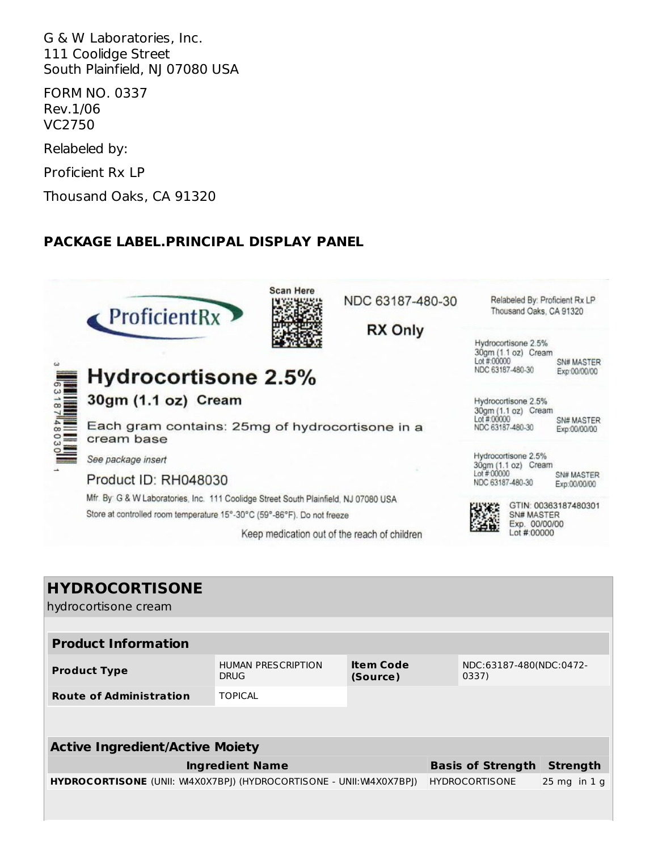G & W Laboratories, Inc. 111 Coolidge Street South Plainfield, NJ 07080 USA

FORM NO. 0337 Rev.1/06 VC2750

Relabeled by:

Proficient Rx LP

Thousand Oaks, CA 91320

### **PACKAGE LABEL.PRINCIPAL DISPLAY PANEL**



30gm (1.1 oz) Cream

Each gram contains: 25mg of hydrocortisone in a cream base

See package insert

7 48030

#### Product ID: RH048030

Mfr. By: G & W Laboratories, Inc. 111 Coolidge Street South Plainfield, NJ 07080 USA Store at controlled room temperature 15°-30°C (59°-86°F). Do not freeze

Keep medication out of the reach of children

| Relabeled By: Proficient Rx LP |  |
|--------------------------------|--|
| Thousand Oaks, CA 91320        |  |

**RX Only** 

NDC 63187-480-30

Hydrocortisone 2.5% 30gm (1.1 oz) Cream<br>Lot #:00000 SN# MASTER NDC 63187-480-30 Exp:00/00/00

Hydrocortisone 2.5% 30gm (1.1 oz) Cream Lot #:00000 SN# MASTER NDC 63187-480-30 Exp:00/00/00

Hydrocortisone 2.5% 30gm (1.1 oz) Cream Lot # 00000 SN# MASTER NDC 63187-480-30 Exp:00/00/00



GTIN: 00363187480301 SN# MASTER Exp. 00/00/00 Lot #:00000

| <b>HYDROCORTISONE</b>                                                     |                                          |                              |                                  |                                  |
|---------------------------------------------------------------------------|------------------------------------------|------------------------------|----------------------------------|----------------------------------|
| hydrocortisone cream                                                      |                                          |                              |                                  |                                  |
|                                                                           |                                          |                              |                                  |                                  |
| <b>Product Information</b>                                                |                                          |                              |                                  |                                  |
| <b>Product Type</b>                                                       | <b>HUMAN PRESCRIPTION</b><br><b>DRUG</b> | <b>Item Code</b><br>(Source) | NDC:63187-480(NDC:0472-<br>0337) |                                  |
| <b>Route of Administration</b>                                            | <b>TOPICAL</b>                           |                              |                                  |                                  |
|                                                                           |                                          |                              |                                  |                                  |
| <b>Active Ingredient/Active Moiety</b>                                    |                                          |                              |                                  |                                  |
| <b>Ingredient Name</b>                                                    |                                          |                              | <b>Basis of Strength</b>         | <b>Strength</b>                  |
| <b>HYDROCORTISONE</b> (UNII: W4X0X7BPJ) (HYDROCORTISONE - UNII:W4X0X7BPJ) |                                          |                              | <b>HYDROCORTISONE</b>            | $25 \text{ mg}$ in $1 \text{ g}$ |
|                                                                           |                                          |                              |                                  |                                  |